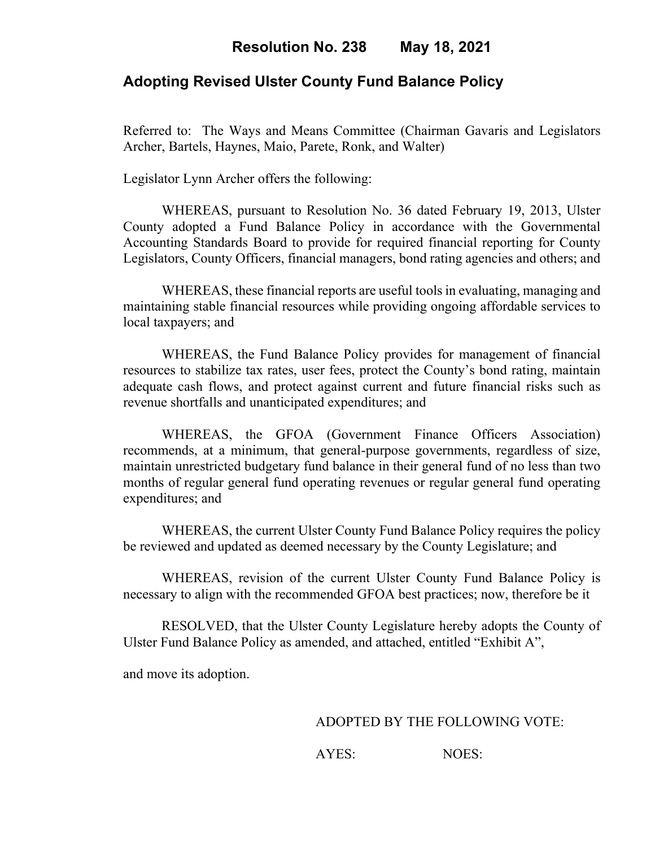## **Adopting Revised Ulster County Fund Balance Policy**

Referred to: The Ways and Means Committee (Chairman Gavaris and Legislators Archer, Bartels, Haynes, Maio, Parete, Ronk, and Walter)

Legislator Lynn Archer offers the following:

WHEREAS, pursuant to Resolution No. 36 dated February 19, 2013, Ulster County adopted a Fund Balance Policy in accordance with the Governmental Accounting Standards Board to provide for required financial reporting for County Legislators, County Officers, financial managers, bond rating agencies and others; and

WHEREAS, these financial reports are useful tools in evaluating, managing and maintaining stable financial resources while providing ongoing affordable services to local taxpayers; and

WHEREAS, the Fund Balance Policy provides for management of financial resources to stabilize tax rates, user fees, protect the County's bond rating, maintain adequate cash flows, and protect against current and future financial risks such as revenue shortfalls and unanticipated expenditures; and

WHEREAS, the GFOA (Government Finance Officers Association) recommends, at a minimum, that general-purpose governments, regardless of size, maintain unrestricted budgetary fund balance in their general fund of no less than two months of regular general fund operating revenues or regular general fund operating expenditures; and

WHEREAS, the current Ulster County Fund Balance Policy requires the policy be reviewed and updated as deemed necessary by the County Legislature; and

WHEREAS, revision of the current Ulster County Fund Balance Policy is necessary to align with the recommended GFOA best practices; now, therefore be it

RESOLVED, that the Ulster County Legislature hereby adopts the County of Ulster Fund Balance Policy as amended, and attached, entitled "Exhibit A",

and move its adoption.

ADOPTED BY THE FOLLOWING VOTE:

AYES: NOES: